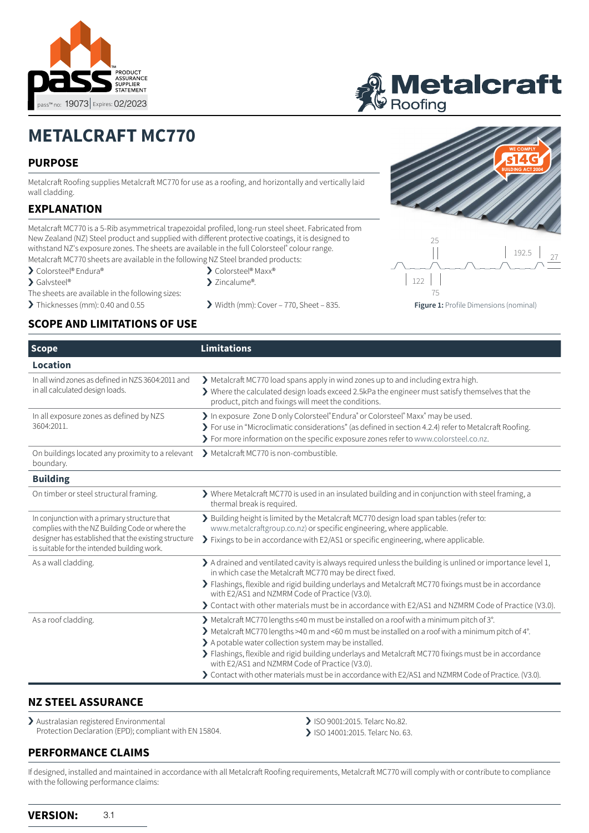



# **METALCRAFT MC770**

# **PURPOSE**

Metalcraft Roofing supplies Metalcraft MC770 for use as a roofing, and horizontally and vertically laid wall cladding.

# **EXPLANATION**

Metalcraft MC770 is a 5-Rib asymmetrical trapezoidal profiled, long-run steel sheet. Fabricated from New Zealand (NZ) Steel product and supplied with different protective coatings, it is designed to withstand NZ's exposure zones. The sheets are available in the full Colorsteel® colour range. Metalcraft MC770 sheets are available in the following NZ Steel branded products:

- › Colorsteel® Endura®
- > Galvsteel®
- The sheets are available in the following sizes:
- 

# **SCOPE AND LIMITATIONS OF USE**

| $\sum$ Colorsteel® Maxx® |  |
|--------------------------|--|

- > Zincalume®.
- > Thicknesses (mm): 0.40 and 0.55 > Width (mm): Cover 770, Sheet 835.



**Figure 1:** Profile Dimensions (nominal)

75

| <b>Scope</b>                                                                                                                                                                                           | <b>Limitations</b>                                                                                                                                                                                                                                                                                                                                                                                                                                                                                                         |
|--------------------------------------------------------------------------------------------------------------------------------------------------------------------------------------------------------|----------------------------------------------------------------------------------------------------------------------------------------------------------------------------------------------------------------------------------------------------------------------------------------------------------------------------------------------------------------------------------------------------------------------------------------------------------------------------------------------------------------------------|
| <b>Location</b>                                                                                                                                                                                        |                                                                                                                                                                                                                                                                                                                                                                                                                                                                                                                            |
| In all wind zones as defined in NZS 3604:2011 and<br>in all calculated design loads.                                                                                                                   | Metalcraft MC770 load spans apply in wind zones up to and including extra high.<br>$\blacktriangleright$ Where the calculated design loads exceed 2.5kPa the engineer must satisfy themselves that the<br>product, pitch and fixings will meet the conditions.                                                                                                                                                                                                                                                             |
| In all exposure zones as defined by NZS<br>3604:2011.                                                                                                                                                  | > In exposure Zone D only Colorsteel® Endura® or Colorsteel® Maxx® may be used.<br>> For use in "Microclimatic considerations" (as defined in section 4.2.4) refer to Metalcraft Roofing.<br>> For more information on the specific exposure zones refer to www.colorsteel.co.nz.                                                                                                                                                                                                                                          |
| On buildings located any proximity to a relevant<br>boundary.                                                                                                                                          | > Metalcraft MC770 is non-combustible.                                                                                                                                                                                                                                                                                                                                                                                                                                                                                     |
| <b>Building</b>                                                                                                                                                                                        |                                                                                                                                                                                                                                                                                                                                                                                                                                                                                                                            |
| On timber or steel structural framing.                                                                                                                                                                 | $\blacktriangleright$ Where Metalcraft MC770 is used in an insulated building and in conjunction with steel framing, a<br>thermal break is required.                                                                                                                                                                                                                                                                                                                                                                       |
| In conjunction with a primary structure that<br>complies with the NZ Building Code or where the<br>designer has established that the existing structure<br>is suitable for the intended building work. | > Building height is limited by the Metalcraft MC770 design load span tables (refer to:<br>www.metalcraftgroup.co.nz) or specific engineering, where applicable.<br>> Fixings to be in accordance with E2/AS1 or specific engineering, where applicable.                                                                                                                                                                                                                                                                   |
| As a wall cladding.                                                                                                                                                                                    | $\blacktriangleright$ A drained and ventilated cavity is always required unless the building is unlined or importance level 1,<br>in which case the Metalcraft MC770 may be direct fixed.                                                                                                                                                                                                                                                                                                                                  |
|                                                                                                                                                                                                        | > Flashings, flexible and rigid building underlays and Metalcraft MC770 fixings must be in accordance<br>with E2/AS1 and NZMRM Code of Practice (V3.0).                                                                                                                                                                                                                                                                                                                                                                    |
|                                                                                                                                                                                                        | > Contact with other materials must be in accordance with E2/AS1 and NZMRM Code of Practice (V3.0).                                                                                                                                                                                                                                                                                                                                                                                                                        |
| As a roof cladding.                                                                                                                                                                                    | > Metalcraft MC770 lengths ≤40 m must be installed on a roof with a minimum pitch of 3°.<br>> Metalcraft MC770 lengths >40 m and <60 m must be installed on a roof with a minimum pitch of 4°.<br>> A potable water collection system may be installed.<br>> Flashings, flexible and rigid building underlays and Metalcraft MC770 fixings must be in accordance<br>with E2/AS1 and NZMRM Code of Practice (V3.0).<br>> Contact with other materials must be in accordance with E2/AS1 and NZMRM Code of Practice. (V3.0). |

### **NZ STEEL ASSURANCE**

> Australasian registered Environmental Protection Declaration (EPD); compliant with EN 15804.

- > ISO 9001:2015. Telarc No.82.
- > ISO 14001:2015. Telarc No. 63.

# **PERFORMANCE CLAIMS**

If designed, installed and maintained in accordance with all Metalcraft Roofing requirements, Metalcraft MC770 will comply with or contribute to compliance with the following performance claims: